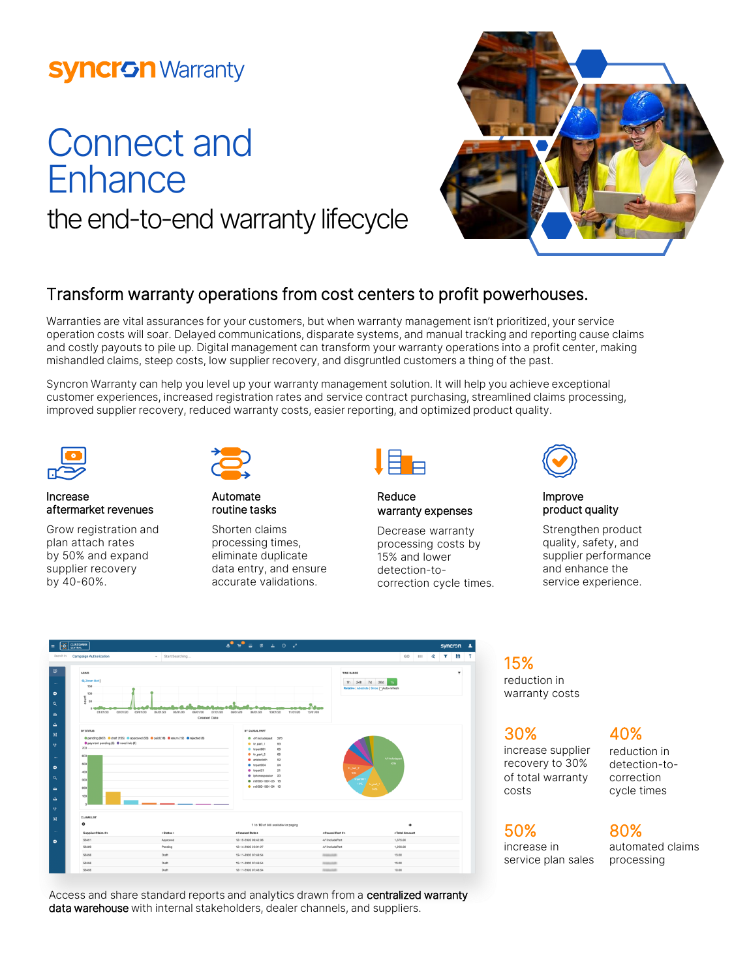## **Syncron Warranty**

# Connect and **Enhance** the end-to-end warranty lifecycle



### Transform warranty operations from cost centers to profit powerhouses.

Warranties are vital assurances for your customers, but when warranty management isn't prioritized, your service operation costs will soar. Delayed communications, disparate systems, and manual tracking and reporting cause claims and costly payouts to pile up. Digital management can transform your warranty operations into a profit center, making mishandled claims, steep costs, low supplier recovery, and disgruntled customers a thing of the past.

Syncron Warranty can help you level up your warranty management solution. It will help you achieve exceptional customer experiences, increased registration rates and service contract purchasing, streamlined claims processing, improved supplier recovery, reduced warranty costs, easier reporting, and optimized product quality.



#### Increase aftermarket revenues

Grow registration and plan attach rates by 50% and expand supplier recovery by 40-60%.



Automate routine tasks

Shorten claims processing times, eliminate duplicate data entry, and ensure accurate validations.



#### Reduce warranty expenses

Decrease warranty processing costs by 15% and lower detection-tocorrection cycle times.



#### Improve product quality

Strengthen product quality, safety, and supplier performance and enhance the service experience.



Access and share standard reports and analytics drawn from a centralized warranty data warehouse with internal stakeholders, dealer channels, and suppliers.

15% reduction in warranty costs

30%

increase supplier recovery to 30% of total warranty costs

### 40%

reduction in detection-tocorrection cycle times

### 50%

increase in service plan sales

#### 80% automated claims

processing